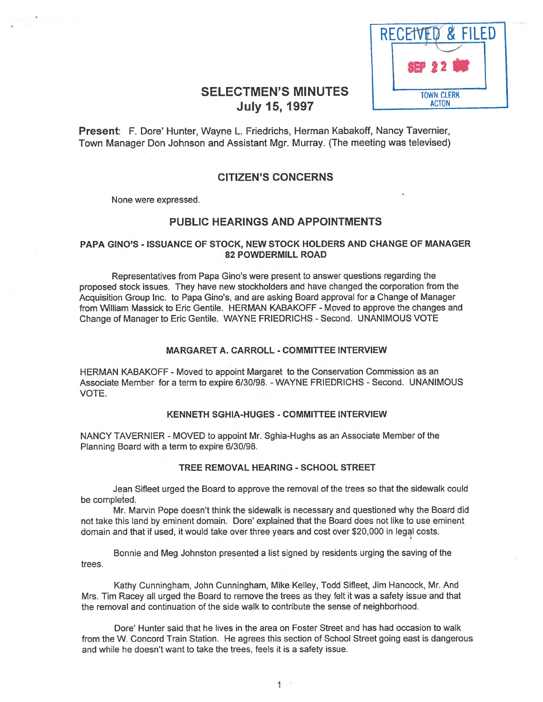

# SELECTMEN'S MINUTES | TOWN CLERK July 15, 1997 **I ACTON**

Present: F. Dore' Hunter, Wayne L. Friedrichs, Herman Kabakoff, Nancy Tavernier, Town Manager Don Johnson and Assistant Mgr. Murray. (The meeting was televised)

## CITIZEN'S CONCERNS

None were expressed.

## PUBLIC HEARINGS AND APPOINTMENTS

## PAPA GINO'S - ISSUANCE OF STOCK, NEW STOCK HOLDERS AND CHANGE OF MANAGER 82 POWDERMILL ROAD

Representatives from Papa Gino's were presen<sup>t</sup> to answer questions regarding the proposed stock issues. They have new stockholders and have changed the corporation from the Acquisition Group Inc. to Papa Gino's, and are asking Board approva<sup>l</sup> for <sup>a</sup> Change of Manager from William Massick to Eric Gentile. HERMAN KABAKOFF -Moved to approve the changes and Change of Manager to Eric Gentile. WAYNE FRIEDRICHS - Second. UNANIMOUS VOTE

## MARGARET A. CARROLL - COMMITTEE INTERVIEW

HERMAN KABAKOFF - Moved to appoint Margaret to the Conservation Commission as an Associate Member for a term to expire 6/30/98. - WAYNE FRIEDRICHS - Second. UNANIMOUS VOTE.

#### KENNETH SGHIA-HUGES -COMMITTEE INTERVIEW

NANCY TAVERNIER -MOVED to appoint Mr. Sghia-Hughs as an Associate Member of the Planning Board with <sup>a</sup> term to expire 6/30/98.

#### TREE REMOVAL HEARING - SCHOOL STREET

Jean Sifleet urged the Board to approve the removal of the trees so that the sidewalk could be completed.

Mr. Marvin Pope doesn't think the sidewalk is necessary and questioned why the Board did not take this land by eminent domain. Dote' explained that the Board does not like to use eminent domain and that if used, it would take over three years and cost over \$20,000 in legal costs.

Bonnie and Meg Johnston presented <sup>a</sup> list signed by residents urging the saving of the trees.

Kathy Cunningham, John Cunningham, Mike Kelley, Todd Sifleet, Jim Hancock, Mr. And Mrs. Tim Racey all urged the Board to remove the trees as they felt it was <sup>a</sup> safety issue and that the removal and continuation of the side walk to contribute the sense of neighborhood.

Dore' Hunter said that he lives in the area on Foster Street and has had occasion to walk from the W. Concord Train Station. He agrees this section of School Street going east is dangerous and while he doesn't want to take the trees, feels it is <sup>a</sup> safety issue.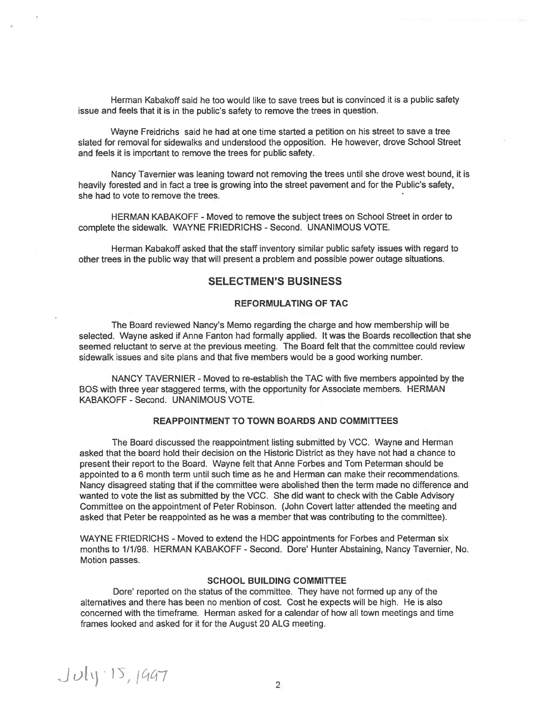Herman Kabakoff said he too would like to save trees but is convinced it is <sup>a</sup> public safety issue and feels that it is in the public's safety to remove the trees in question.

Wayne Freidrichs said he had at one time started <sup>a</sup> petition on his street to save <sup>a</sup> tree slated for removal for sidewalks and understood the opposition. He however, drove School Street and feels it is important to remove the trees for public safety.

Nancy Tavernier was leaning toward not removing the trees until she drove west bound, it is heavily forested and in fact <sup>a</sup> tree is growing into the street pavemen<sup>t</sup> and for the Public's safety, she had to vote to remove the trees.

HERMAN KABAKOFF -Moved to remove the subject trees on School Street in order to complete the sidewalk. WAYNE FRIEDRICHS - Second. UNANIMOUS VOTE.

Herman Kabakoff asked that the staff inventory similar public safety issues with regard to other trees in the public way that will presen<sup>t</sup> <sup>a</sup> problem and possible power outage situations.

## SELECTMEN'S BUSINESS

## REFORMULATING OF TAC

The Board reviewed Nancy's Memo regarding the charge and how membership will be selected. Wayne asked if Anne Fanton had formally applied. It was the Boards recollection that she seemed reluctant to serve at the previous meeting. The Board felt that the committee could review sidewalk issues and site plans and that five members would be <sup>a</sup> good working number.

NANCY TAVERNIER - Moved to re-establish the TAC with five members appointed by the BOS with three year staggered terms, with the opportunity for Associate members. HERMAN KABAKOFF - Second. UNANIMOUS VOTE.

## REAPPOINTMENT TO TOWN BOARDS AND COMMITTEES

The Board discussed the reappointment listing submitted by VCC. Wayne and Herman asked that the board hold their decision on the Historic District as they have not had <sup>a</sup> chance to presen<sup>t</sup> their repor<sup>t</sup> to the Board. Wayne felt that Anne Forbes and Tom Peterman should be appointed to <sup>a</sup> 6 month term until such time as he and Herman can make their recommendations. Nancy disagreed stating that if the committee were abolished then the term made no difference and wanted to vote the list as submitted by the VCC. She did want to check with the Cable Advisory Committee on the appointment of Peter Robinson. (John Covert latter attended the meeting and asked that Peter be reappointed as he was <sup>a</sup> member that was contributing to the committee).

WAYNE FRIEDRICHS - Moved to extend the HDC appointments for Forbes and Peterman six months to 1/1/98. HERMAN KABAKOFF - Second. Dore' Hunter Abstaining, Nancy Tavernier, No. Motion passes.

#### SCHOOL BUILDING COMMITTEE

Dore' reported on the status of the committee. They have not formed up any of the alternatives and there has been no mention of cost. Cost he expects will be high. He is also concerned with the timeframe. Herman asked for <sup>a</sup> calendar of how all town meetings and time frames looked and asked for it for the August 20 ALG meeting.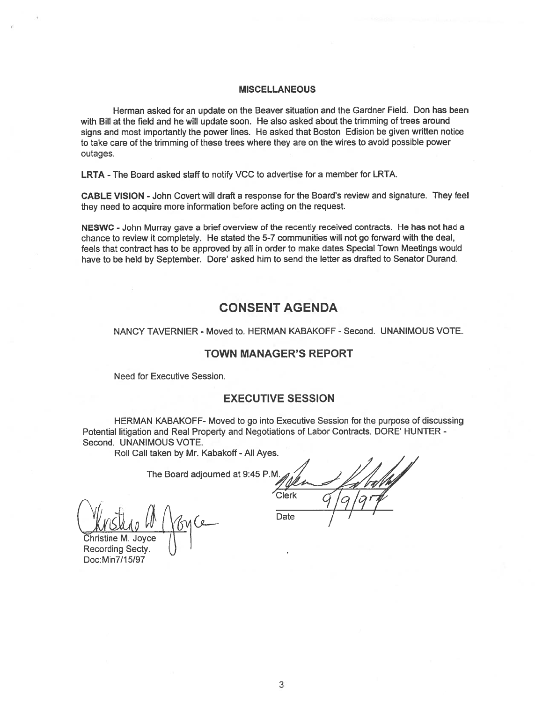#### MISCELLANEOUS

Herman asked for an update on the Beaver situation and the Gardner Field. Don has been with Bill at the field and he will update soon. He also asked about the trimming of trees around signs and most importantly the power lines. He asked that Boston Edision be <sup>g</sup>iven written notice to take care of the trimming of these trees where they are on the wires to avoid possible power outages.

LRTA -The Board asked staff to notify VCC to advertise for <sup>a</sup> member for LRTA.

CABLE VISION -John Covert will draft <sup>a</sup> response for the Board's review and signature. They feel they need to acquire more information before acting on the request.

NESWC - John Murray gave a brief overview of the recently received contracts. He has not had a chance to review it completely. He stated the 5-7 communities will not go forward with the deal, feels that contract has to be approved by all in order to make dates Special Town Meetings would have to be held by September. Dore' asked him to send the letter as drafted to Senator Durand.

# CONSENT AGENDA

NANCY TAVERNIER - Moved to. HERMAN KABAKOFF - Second. UNANIMOUS VOTE.

## TOWN MANAGER'S REPORT

Need for Executive Session.

## EXECUTIVE SESSION

HERMAN KABAKOFF- Moved to go into Executive Session for the purpose of discussing Potential litigation and Real Property and Negotiations of Labor Contracts. DORE' HUNTER - Second. UNANIMOUS VOTE.

Roll Call taken by Mr. Kabakoff - All Ayes.

The Board adjourned at 9:45 P.M.

Christine M. Joyce Recording Secty. Doc:Min7115197

'Clerk / Clerk  $\frac{q}{q}$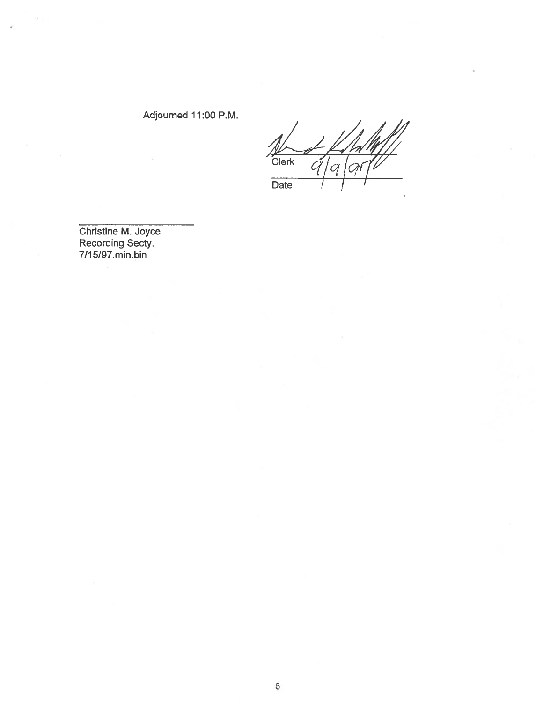# Adjourned 11:00 P.M.

Clerk  $Q$ C  $\overline{Date}$ 

Christine M. Joyce Recording Secty. 7/1 5/97.min.bin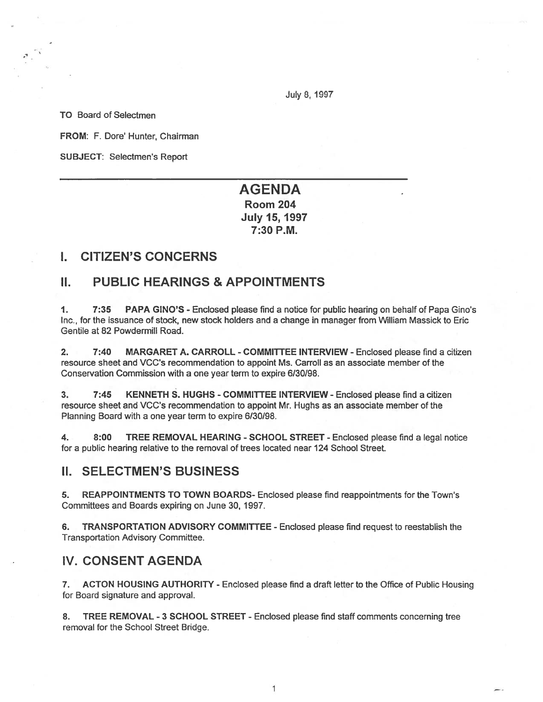July 8, 1997

TO Board of Selectmen

FROM: F. Dore' Hunter, Chairman

SUBJECT: Selectmen's Report

# AGENDA Room 204

July 15, 1997 7:30 P.M.

# I. CITIZEN'S CONCERNS

# II. PUBLIC HEARINGS & APPOINTMENTS

1. 7:35 PAPA GINO'S - Enclosed please find <sup>a</sup> notice for public hearing on behalf of Papa Gino's Inc., for the issuance of stock, new stock holders and <sup>a</sup> change in manager from William Massick to Eric Gentile at 82 Powdermill Road.

2. 7:40 MARGARET A. CARROLL - COMMITTEE INTERVIEW - Enclosed please find <sup>a</sup> citizen resource sheet and VCC's recommendation to appoint Ms. Carroll as an associate member of the Conservation Commission with <sup>a</sup> one year term to expire 6/30/98.

3. 7:45 KENNETH S. HUGHS - COMMITTEE INTERVIEW - Enclosed please find <sup>a</sup> citizen resource sheet and VCC's recommendation to appoint Mr. Hughs as an associate member of the Planning Board with <sup>a</sup> one year term to expire 6/30/98.

4. 8:00 TREE REMOVAL HEARING - SCHOOL STREET - Enclosed please find <sup>a</sup> legal notice for <sup>a</sup> public hearing relative to the removal of trees located near 124 School Street.

## II. SELECTMEN'S BUSINESS

5. REAPPOINTMENTS TO TOWN BOARDS- Enclosed please find reappointments for the Town's Committees and Boards expiring on June 30, 1997.

6. TRANSPORTATION ADVISORY COMMITTEE - Enclosed please find reques<sup>t</sup> to reestablish the Transportation Advisory Committee.

# IV. CONSENT AGENDA

7. ACTON HOUSING AUTHORITY - Enclosed please find <sup>a</sup> draft letter to the Office of Public Housing for Board signature and approval.

8. TREE REMOVAL - <sup>3</sup> SCHOOL STREET - Enclosed please find staff comments concerning tree removal for the School Street Bridge.